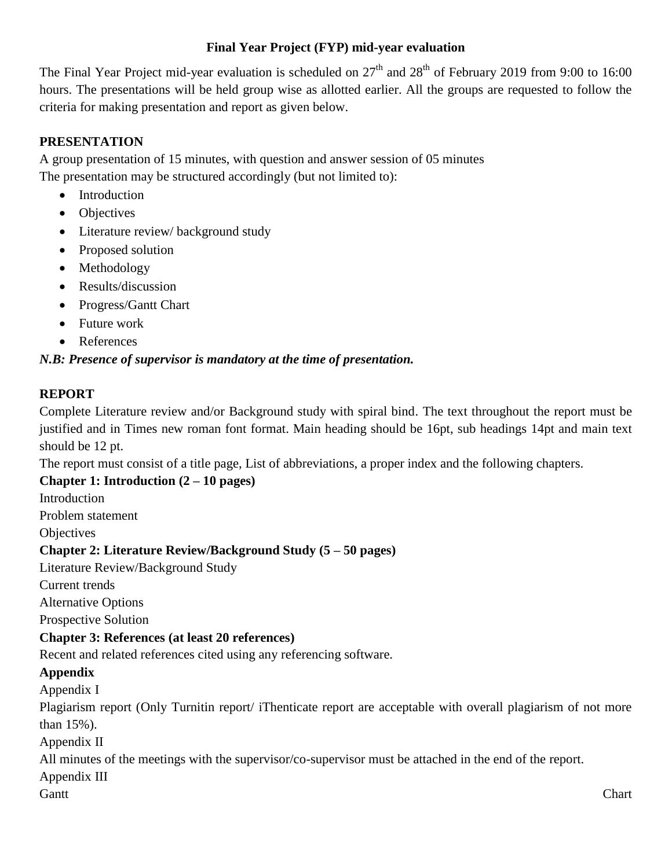#### **Final Year Project (FYP) mid-year evaluation**

The Final Year Project mid-year evaluation is scheduled on  $27<sup>th</sup>$  and  $28<sup>th</sup>$  of February 2019 from 9:00 to 16:00 hours. The presentations will be held group wise as allotted earlier. All the groups are requested to follow the criteria for making presentation and report as given below.

## **PRESENTATION**

A group presentation of 15 minutes, with question and answer session of 05 minutes The presentation may be structured accordingly (but not limited to):

- Introduction
- Objectives
- Literature review/background study
- Proposed solution
- Methodology
- Results/discussion
- Progress/Gantt Chart
- Future work
- References

## *N.B: Presence of supervisor is mandatory at the time of presentation.*

#### **REPORT**

Complete Literature review and/or Background study with spiral bind. The text throughout the report must be justified and in Times new roman font format. Main heading should be 16pt, sub headings 14pt and main text should be 12 pt.

The report must consist of a title page, List of abbreviations, a proper index and the following chapters.

## **Chapter 1: Introduction (2 – 10 pages)**

**Introduction** 

Problem statement

**Objectives** 

## **Chapter 2: Literature Review/Background Study (5 – 50 pages)**

Literature Review/Background Study

Current trends

Alternative Options

Prospective Solution

## **Chapter 3: References (at least 20 references)**

Recent and related references cited using any referencing software.

## **Appendix**

Appendix I

Plagiarism report (Only Turnitin report/ iThenticate report are acceptable with overall plagiarism of not more than 15%).

Appendix II

All minutes of the meetings with the supervisor/co-supervisor must be attached in the end of the report.

Appendix III

Gantt **Chart**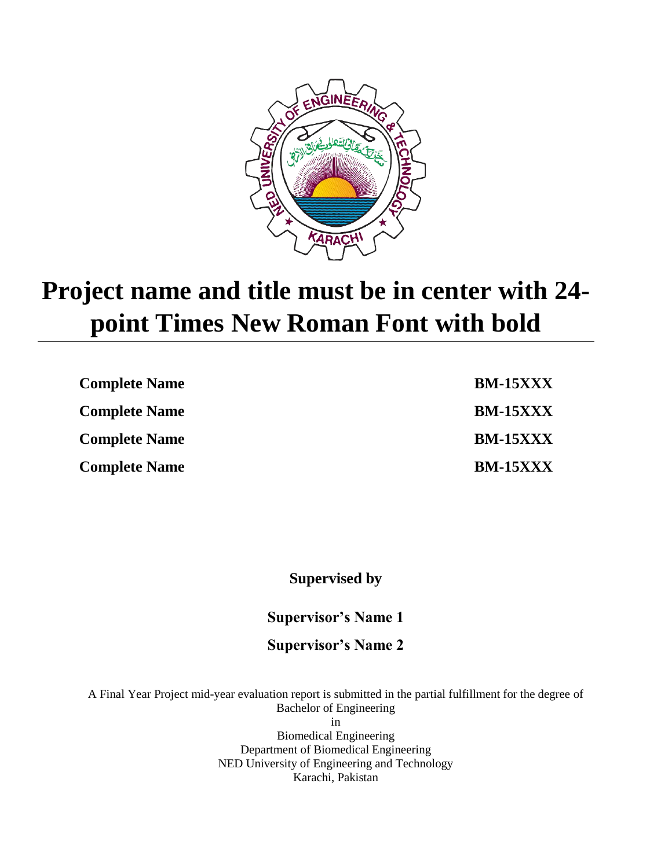

# **Project name and title must be in center with 24 point Times New Roman Font with bold**

| <b>Complete Name</b> | <b>BM-15XXX</b> |
|----------------------|-----------------|
| <b>Complete Name</b> | <b>BM-15XXX</b> |
| <b>Complete Name</b> | <b>BM-15XXX</b> |
| <b>Complete Name</b> | <b>BM-15XXX</b> |

**Supervised by**

**Supervisor's Name 1**

**Supervisor's Name 2**

A Final Year Project mid-year evaluation report is submitted in the partial fulfillment for the degree of Bachelor of Engineering in Biomedical Engineering

Department of Biomedical Engineering NED University of Engineering and Technology Karachi, Pakistan